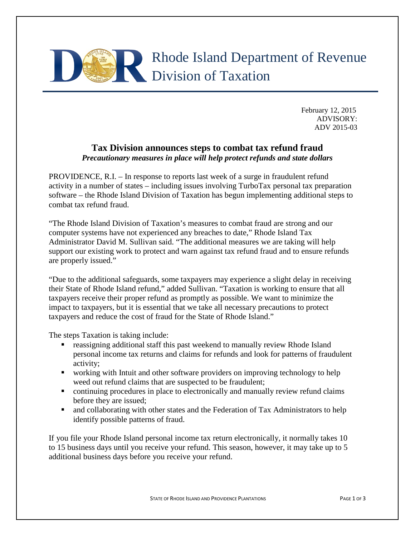

February 12, 2015 ADVISORY: ADV 2015-03

## **Tax Division announces steps to combat tax refund fraud** *Precautionary measures in place will help protect refunds and state dollars*

PROVIDENCE, R.I. – In response to reports last week of a surge in fraudulent refund activity in a number of states – including issues involving TurboTax personal tax preparation software – the Rhode Island Division of Taxation has begun implementing additional steps to combat tax refund fraud.

"The Rhode Island Division of Taxation's measures to combat fraud are strong and our computer systems have not experienced any breaches to date," Rhode Island Tax Administrator David M. Sullivan said. "The additional measures we are taking will help support our existing work to protect and warn against tax refund fraud and to ensure refunds are properly issued."

"Due to the additional safeguards, some taxpayers may experience a slight delay in receiving their State of Rhode Island refund," added Sullivan. "Taxation is working to ensure that all taxpayers receive their proper refund as promptly as possible. We want to minimize the impact to taxpayers, but it is essential that we take all necessary precautions to protect taxpayers and reduce the cost of fraud for the State of Rhode Island."

The steps Taxation is taking include:

- reassigning additional staff this past weekend to manually review Rhode Island personal income tax returns and claims for refunds and look for patterns of fraudulent activity;
- working with Intuit and other software providers on improving technology to help weed out refund claims that are suspected to be fraudulent;
- continuing procedures in place to electronically and manually review refund claims before they are issued;
- and collaborating with other states and the Federation of Tax Administrators to help identify possible patterns of fraud.

If you file your Rhode Island personal income tax return electronically, it normally takes 10 to 15 business days until you receive your refund. This season, however, it may take up to 5 additional business days before you receive your refund.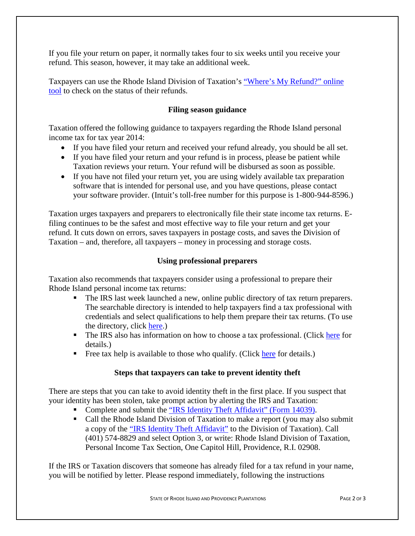If you file your return on paper, it normally takes four to six weeks until you receive your refund. This season, however, it may take an additional week.

Taxpayers can use the Rhode Island Division of Taxation's ["Where's My Refund?" online](https://www.ri.gov/taxation/refund/)  [tool](https://www.ri.gov/taxation/refund/) to check on the status of their refunds.

## **Filing season guidance**

Taxation offered the following guidance to taxpayers regarding the Rhode Island personal income tax for tax year 2014:

- If you have filed your return and received your refund already, you should be all set.
- If you have filed your return and your refund is in process, please be patient while Taxation reviews your return. Your refund will be disbursed as soon as possible.
- If you have not filed your return yet, you are using widely available tax preparation software that is intended for personal use, and you have questions, please contact your software provider. (Intuit's toll-free number for this purpose is 1-800-944-8596.)

Taxation urges taxpayers and preparers to electronically file their state income tax returns. Efiling continues to be the safest and most effective way to file your return and get your refund. It cuts down on errors, saves taxpayers in postage costs, and saves the Division of Taxation – and, therefore, all taxpayers – money in processing and storage costs.

## **Using professional preparers**

Taxation also recommends that taxpayers consider using a professional to prepare their Rhode Island personal income tax returns:

- The IRS last week launched a new, online public directory of tax return preparers. The searchable directory is intended to help taxpayers find a tax professional with credentials and select qualifications to help them prepare their tax returns. (To use the directory, click [here.](http://www.irs.gov/uac/Newsroom/IRS-Launches-Directory-of-Federal-Tax-Return-Preparers))
- The IRS also has information on how to choose a tax professional. (Click [here](http://www.irs.gov/Tax-Professionals/Choosing-a-Tax-Professional) for details.)
- Free tax help is available to those who qualify. (Click [here](http://www.irs.gov/uac/Newsroom/Free-Tax-Help-Available-Nationwide-2015) for details.)

## **Steps that taxpayers can take to prevent identity theft**

There are steps that you can take to avoid identity theft in the first place. If you suspect that your identity has been stolen, take prompt action by alerting the IRS and Taxation:

- Complete and submit the ["IRS Identity Theft Affidavit"](http://www.irs.gov/pub/irs-pdf/f14039.pdf) (Form 14039).
- Call the Rhode Island Division of Taxation to make a report (you may also submit a copy of the ["IRS Identity Theft Affidavit"](http://www.irs.gov/pub/irs-pdf/f14039.pdf) to the Division of Taxation). Call (401) 574-8829 and select Option 3, or write: Rhode Island Division of Taxation, Personal Income Tax Section, One Capitol Hill, Providence, R.I. 02908.

If the IRS or Taxation discovers that someone has already filed for a tax refund in your name, you will be notified by letter. Please respond immediately, following the instructions